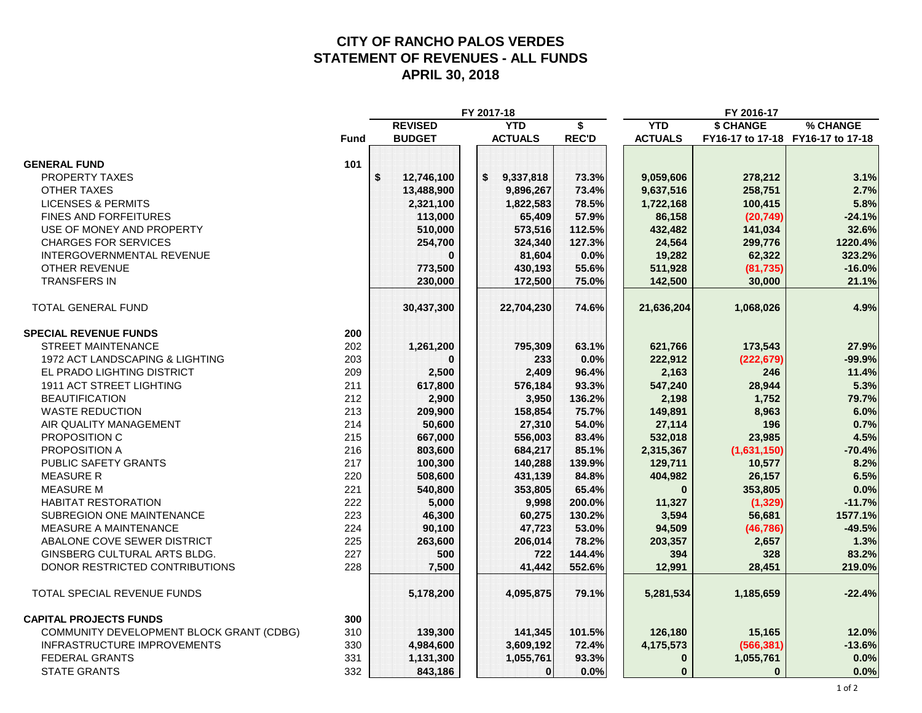#### **CITY OF RANCHO PALOS VERDES STATEMENT OF REVENUES - ALL FUNDS APRIL 30, 2018**

| <b>REVISED</b><br><b>YTD</b><br><b>YTD</b><br><b>\$ CHANGE</b><br>\$                                                  | % CHANGE |
|-----------------------------------------------------------------------------------------------------------------------|----------|
|                                                                                                                       |          |
| <b>BUDGET</b><br><b>ACTUALS</b><br><b>REC'D</b><br><b>ACTUALS</b><br><b>Fund</b><br>FY16-17 to 17-18 FY16-17 to 17-18 |          |
|                                                                                                                       |          |
| <b>GENERAL FUND</b><br>101                                                                                            |          |
| <b>PROPERTY TAXES</b><br>\$<br>73.3%<br>\$<br>12,746,100<br>9,337,818<br>9,059,606<br>278,212                         | 3.1%     |
| <b>OTHER TAXES</b><br>13,488,900<br>9,896,267<br>73.4%<br>9,637,516<br>258,751                                        | 2.7%     |
| 78.5%<br><b>LICENSES &amp; PERMITS</b><br>2,321,100<br>1,822,583<br>1,722,168<br>100,415                              | 5.8%     |
| <b>FINES AND FORFEITURES</b><br>113,000<br>57.9%<br>(20, 749)<br>65,409<br>86,158                                     | $-24.1%$ |
| USE OF MONEY AND PROPERTY<br>510,000<br>573,516<br>112.5%<br>432,482<br>141,034                                       | 32.6%    |
| <b>CHARGES FOR SERVICES</b><br>254,700<br>127.3%<br>24,564<br>299,776<br>324,340                                      | 1220.4%  |
| 0.0%<br><b>INTERGOVERNMENTAL REVENUE</b><br>81,604<br>19,282<br>62,322<br>O                                           | 323.2%   |
| <b>OTHER REVENUE</b><br>55.6%<br>773,500<br>430,193<br>511,928<br>(81, 735)                                           | $-16.0%$ |
| <b>TRANSFERS IN</b><br>230,000<br>75.0%<br>142,500<br>30,000<br>172,500                                               | 21.1%    |
| <b>TOTAL GENERAL FUND</b><br>74.6%<br>30,437,300<br>22,704,230<br>21,636,204<br>1,068,026                             | 4.9%     |
| <b>SPECIAL REVENUE FUNDS</b><br>200                                                                                   |          |
| <b>STREET MAINTENANCE</b><br>202<br>795,309<br>63.1%<br>173,543<br>1,261,200<br>621,766                               | 27.9%    |
| 1972 ACT LANDSCAPING & LIGHTING<br>203<br>0.0%<br>222,912<br>$\Omega$<br>233<br>(222, 679)                            | -99.9%   |
| EL PRADO LIGHTING DISTRICT<br>209<br>96.4%<br>2,500<br>2,409<br>2,163<br>246                                          | 11.4%    |
| 1911 ACT STREET LIGHTING<br>211<br>93.3%<br>617,800<br>28,944<br>576,184<br>547,240                                   | 5.3%     |
| <b>BEAUTIFICATION</b><br>212<br>136.2%<br>1,752<br>2,900<br>3,950<br>2,198                                            | 79.7%    |
| 213<br><b>WASTE REDUCTION</b><br>209,900<br>158,854<br>75.7%<br>149,891<br>8,963                                      | 6.0%     |
| AIR QUALITY MANAGEMENT<br>214<br>50,600<br>27,310<br>54.0%<br>27,114<br>196                                           | 0.7%     |
| PROPOSITION C<br>215<br>83.4%<br>667,000<br>556,003<br>532,018<br>23,985                                              | 4.5%     |
| PROPOSITION A<br>216<br>803,600<br>684,217<br>85.1%<br>2,315,367<br>(1,631,150)                                       | $-70.4%$ |
| PUBLIC SAFETY GRANTS<br>217<br>100,300<br>139.9%<br>129,711<br>140,288<br>10,577                                      | 8.2%     |
| <b>MEASURE R</b><br>84.8%<br>220<br>508,600<br>431,139<br>404,982<br>26,157                                           | 6.5%     |
| <b>MEASURE M</b><br>221<br>65.4%<br>540,800<br>353,805<br>$\bf{0}$<br>353,805                                         | 0.0%     |
| <b>HABITAT RESTORATION</b><br>222<br>200.0%<br>5,000<br>9,998<br>11,327<br>(1, 329)                                   | $-11.7%$ |
| SUBREGION ONE MAINTENANCE<br>223<br>130.2%<br>46,300<br>3,594<br>60,275<br>56,681                                     | 1577.1%  |
| <b>MEASURE A MAINTENANCE</b><br>224<br>90,100<br>47,723<br>53.0%<br>94,509<br>(46, 786)                               | $-49.5%$ |
| ABALONE COVE SEWER DISTRICT<br>225<br>78.2%<br>263,600<br>206,014<br>203,357<br>2,657                                 | 1.3%     |
| 227<br>GINSBERG CULTURAL ARTS BLDG.<br>144.4%<br>500<br>722<br>394                                                    | 83.2%    |
| 328<br>228<br>552.6%<br>DONOR RESTRICTED CONTRIBUTIONS<br>41,442<br>28,451                                            | 219.0%   |
| 7,500<br>12,991                                                                                                       |          |
| TOTAL SPECIAL REVENUE FUNDS<br>4,095,875<br>79.1%<br>5,178,200<br>5,281,534<br>1,185,659                              | $-22.4%$ |
| <b>CAPITAL PROJECTS FUNDS</b><br>300                                                                                  |          |
| COMMUNITY DEVELOPMENT BLOCK GRANT (CDBG)<br>310<br>139,300<br>141,345<br>101.5%<br>126,180<br>15,165                  | 12.0%    |
| INFRASTRUCTURE IMPROVEMENTS<br>330<br>4,984,600<br>3,609,192<br>72.4%<br>4,175,573<br>(566, 381)                      | $-13.6%$ |
| 331<br><b>FEDERAL GRANTS</b><br>1,131,300<br>1,055,761<br>93.3%<br>1,055,761<br>$\bf{0}$                              | 0.0%     |
| <b>STATE GRANTS</b><br>332<br>843,186<br>0.0%<br>$\bf{0}$<br>$\bf{0}$<br>$\mathbf{0}$                                 | 0.0%     |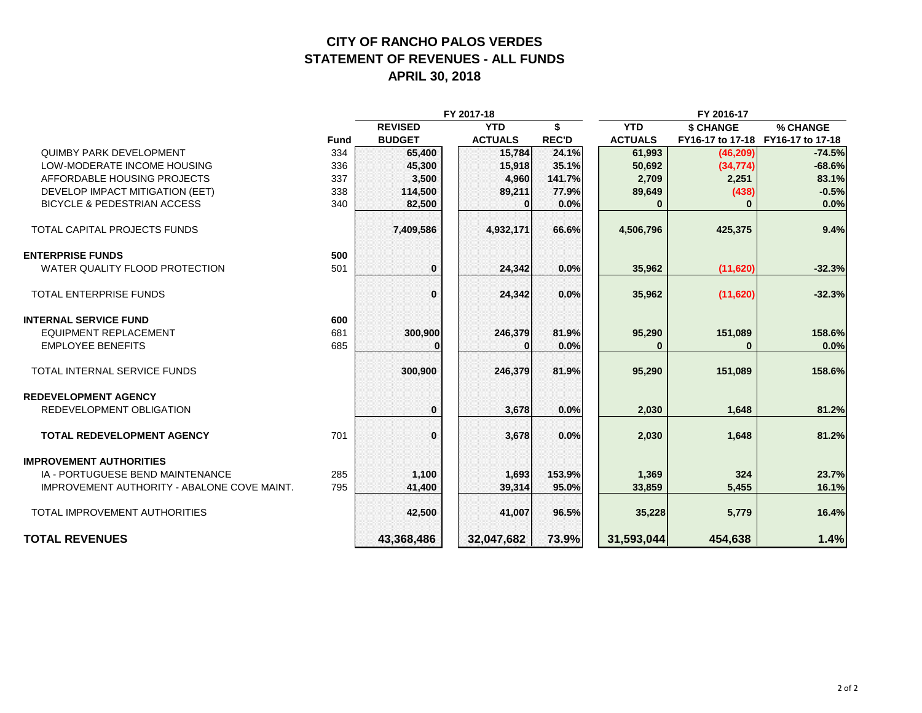#### **CITY OF RANCHO PALOS VERDES STATEMENT OF REVENUES - ALL FUNDS APRIL 30, 2018**

|                                                    |             |                | FY 2017-18     | FY 2016-17   |                |                  |                  |
|----------------------------------------------------|-------------|----------------|----------------|--------------|----------------|------------------|------------------|
|                                                    |             | <b>REVISED</b> | <b>YTD</b>     | ¢            | <b>YTD</b>     | <b>\$ CHANGE</b> | % CHANGE         |
|                                                    | <b>Fund</b> | <b>BUDGET</b>  | <b>ACTUALS</b> | <b>REC'D</b> | <b>ACTUALS</b> | FY16-17 to 17-18 | FY16-17 to 17-18 |
| <b>QUIMBY PARK DEVELOPMENT</b>                     | 334         | 65,400         | 15,784         | 24.1%        | 61,993         | (46, 209)        | $-74.5%$         |
| LOW-MODERATE INCOME HOUSING                        | 336         | 45,300         | 15,918         | 35.1%        | 50,692         | (34, 774)        | $-68.6%$         |
| AFFORDABLE HOUSING PROJECTS                        | 337         | 3,500          | 4,960          | 141.7%       | 2,709          | 2,251            | 83.1%            |
| DEVELOP IMPACT MITIGATION (EET)                    | 338         | 114,500        | 89,211         | 77.9%        | 89,649         | (438)            | $-0.5%$          |
| <b>BICYCLE &amp; PEDESTRIAN ACCESS</b>             | 340         | 82,500         | 0              | 0.0%         | O              | $\bf{0}$         | 0.0%             |
| TOTAL CAPITAL PROJECTS FUNDS                       |             | 7,409,586      | 4,932,171      | 66.6%        | 4,506,796      | 425,375          | 9.4%             |
| <b>ENTERPRISE FUNDS</b>                            | 500         |                |                |              |                |                  |                  |
| WATER QUALITY FLOOD PROTECTION                     | 501         | $\bf{0}$       | 24,342         | 0.0%         | 35.962         | (11,620)         | $-32.3%$         |
| <b>TOTAL ENTERPRISE FUNDS</b>                      |             | $\Omega$       | 24,342         | 0.0%         | 35,962         | (11,620)         | $-32.3%$         |
| <b>INTERNAL SERVICE FUND</b>                       | 600         |                |                |              |                |                  |                  |
| <b>EQUIPMENT REPLACEMENT</b>                       | 681         | 300,900        | 246,379        | 81.9%        | 95,290         | 151,089          | 158.6%           |
| <b>EMPLOYEE BENEFITS</b>                           | 685         |                | 0              | 0.0%         | $\Omega$       | 0                | 0.0%             |
| TOTAL INTERNAL SERVICE FUNDS                       |             | 300,900        | 246,379        | 81.9%        | 95,290         | 151,089          | 158.6%           |
| <b>REDEVELOPMENT AGENCY</b>                        |             |                |                |              |                |                  |                  |
| REDEVELOPMENT OBLIGATION                           |             | $\bf{0}$       | 3,678          | 0.0%         | 2,030          | 1,648            | 81.2%            |
| <b>TOTAL REDEVELOPMENT AGENCY</b>                  | 701         | $\bf{0}$       | 3,678          | 0.0%         | 2,030          | 1,648            | 81.2%            |
| <b>IMPROVEMENT AUTHORITIES</b>                     |             |                |                |              |                |                  |                  |
| IA - PORTUGUESE BEND MAINTENANCE                   | 285         | 1,100          | 1,693          | 153.9%       | 1,369          | 324              | 23.7%            |
| <b>IMPROVEMENT AUTHORITY - ABALONE COVE MAINT.</b> | 795         | 41,400         | 39,314         | 95.0%        | 33,859         | 5,455            | 16.1%            |
| TOTAL IMPROVEMENT AUTHORITIES                      |             | 42,500         | 41,007         | 96.5%        | 35,228         | 5,779            | 16.4%            |
| <b>TOTAL REVENUES</b>                              |             | 43,368,486     | 32,047,682     | 73.9%        | 31,593,044     | 454,638          | 1.4%             |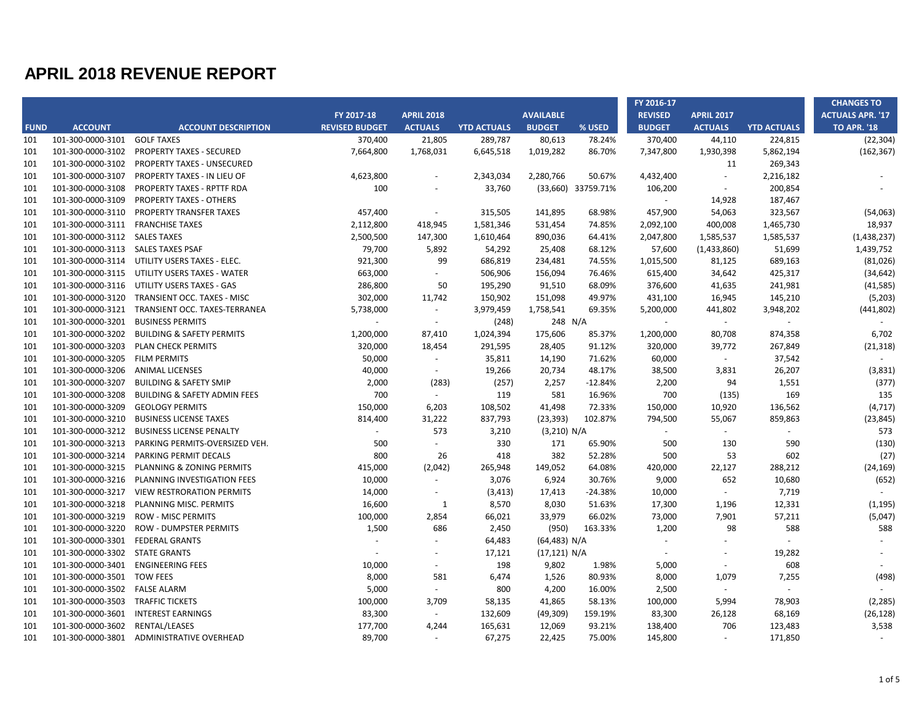|             |                                    |                                         |                       |                          |                    |                  |                    | FY 2016-17     |                   |                    | <b>CHANGES TO</b>       |
|-------------|------------------------------------|-----------------------------------------|-----------------------|--------------------------|--------------------|------------------|--------------------|----------------|-------------------|--------------------|-------------------------|
|             |                                    |                                         | FY 2017-18            | <b>APRIL 2018</b>        |                    | <b>AVAILABLE</b> |                    | <b>REVISED</b> | <b>APRIL 2017</b> |                    | <b>ACTUALS APR. '17</b> |
| <b>FUND</b> | <b>ACCOUNT</b>                     | <b>ACCOUNT DESCRIPTION</b>              | <b>REVISED BUDGET</b> | <b>ACTUALS</b>           | <b>YTD ACTUALS</b> | <b>BUDGET</b>    | % USED             | <b>BUDGET</b>  | <b>ACTUALS</b>    | <b>YTD ACTUALS</b> | <b>TO APR. '18</b>      |
| 101         | 101-300-0000-3101                  | <b>GOLF TAXES</b>                       | 370,400               | 21,805                   | 289,787            | 80,613           | 78.24%             | 370,400        | 44,110            | 224,815            | (22, 304)               |
| 101         | 101-300-0000-3102                  | <b>PROPERTY TAXES - SECURED</b>         | 7,664,800             | 1,768,031                | 6,645,518          | 1,019,282        | 86.70%             | 7,347,800      | 1,930,398         | 5,862,194          | (162, 367)              |
| 101         | 101-300-0000-3102                  | PROPERTY TAXES - UNSECURED              |                       |                          |                    |                  |                    |                | 11                | 269,343            |                         |
| 101         | 101-300-0000-3107                  | <b>PROPERTY TAXES - IN LIEU OF</b>      | 4,623,800             | $\overline{\phantom{a}}$ | 2,343,034          | 2,280,766        | 50.67%             | 4,432,400      | $\sim$            | 2,216,182          |                         |
| 101         | 101-300-0000-3108                  | PROPERTY TAXES - RPTTF RDA              | 100                   | $\overline{\phantom{a}}$ | 33,760             |                  | (33,660) 33759.71% | 106,200        | $\sim$            | 200,854            |                         |
| 101         | 101-300-0000-3109                  | <b>PROPERTY TAXES - OTHERS</b>          |                       |                          |                    |                  |                    | $\sim$         | 14,928            | 187,467            |                         |
| 101         | 101-300-0000-3110                  | PROPERTY TRANSFER TAXES                 | 457,400               | $\sim$                   | 315,505            | 141,895          | 68.98%             | 457,900        | 54,063            | 323,567            | (54,063)                |
| 101         | 101-300-0000-3111                  | <b>FRANCHISE TAXES</b>                  | 2,112,800             | 418,945                  | 1,581,346          | 531,454          | 74.85%             | 2,092,100      | 400,008           | 1,465,730          | 18,937                  |
| 101         | 101-300-0000-3112 SALES TAXES      |                                         | 2,500,500             | 147,300                  | 1,610,464          | 890,036          | 64.41%             | 2,047,800      | 1,585,537         | 1,585,537          | (1,438,237)             |
| 101         | 101-300-0000-3113 SALES TAXES PSAF |                                         | 79,700                | 5,892                    | 54,292             | 25,408           | 68.12%             | 57,600         | (1,433,860)       | 51,699             | 1,439,752               |
| 101         | 101-300-0000-3114                  | UTILITY USERS TAXES - ELEC.             | 921,300               | 99                       | 686,819            | 234,481          | 74.55%             | 1,015,500      | 81,125            | 689,163            | (81,026)                |
| 101         | 101-300-0000-3115                  | UTILITY USERS TAXES - WATER             | 663,000               | $\sim$                   | 506,906            | 156,094          | 76.46%             | 615,400        | 34,642            | 425,317            | (34, 642)               |
| 101         | 101-300-0000-3116                  | UTILITY USERS TAXES - GAS               | 286,800               | 50                       | 195,290            | 91,510           | 68.09%             | 376,600        | 41,635            | 241,981            | (41, 585)               |
| 101         | 101-300-0000-3120                  | TRANSIENT OCC. TAXES - MISC             | 302,000               | 11,742                   | 150,902            | 151,098          | 49.97%             | 431,100        | 16,945            | 145,210            | (5,203)                 |
| 101         | 101-300-0000-3121                  | TRANSIENT OCC. TAXES-TERRANEA           | 5,738,000             | $\sim$                   | 3,979,459          | 1,758,541        | 69.35%             | 5,200,000      | 441,802           | 3,948,202          | (441, 802)              |
| 101         | 101-300-0000-3201                  | <b>BUSINESS PERMITS</b>                 | $\sim$                | $\sim$                   | (248)              | 248 N/A          |                    | $\omega$       | $\sim$            | $\sim$             | $\sim$                  |
| 101         | 101-300-0000-3202                  | <b>BUILDING &amp; SAFETY PERMITS</b>    | 1,200,000             | 87,410                   | 1,024,394          | 175,606          | 85.37%             | 1,200,000      | 80,708            | 874,358            | 6,702                   |
| 101         | 101-300-0000-3203                  | PLAN CHECK PERMITS                      | 320,000               | 18,454                   | 291,595            | 28,405           | 91.12%             | 320,000        | 39,772            | 267,849            | (21, 318)               |
| 101         | 101-300-0000-3205                  | <b>FILM PERMITS</b>                     | 50,000                | $\sim$                   | 35,811             | 14,190           | 71.62%             | 60,000         | $\sim$            | 37,542             |                         |
| 101         | 101-300-0000-3206                  | <b>ANIMAL LICENSES</b>                  | 40,000                | $\sim$                   | 19,266             | 20,734           | 48.17%             | 38,500         | 3,831             | 26,207             | (3,831)                 |
| 101         | 101-300-0000-3207                  | <b>BUILDING &amp; SAFETY SMIP</b>       | 2,000                 | (283)                    | (257)              | 2,257            | $-12.84%$          | 2,200          | 94                | 1,551              | (377)                   |
| 101         | 101-300-0000-3208                  | <b>BUILDING &amp; SAFETY ADMIN FEES</b> | 700                   | $\sim$                   | 119                | 581              | 16.96%             | 700            | (135)             | 169                | 135                     |
| 101         | 101-300-0000-3209                  | <b>GEOLOGY PERMITS</b>                  | 150,000               | 6,203                    | 108,502            | 41,498           | 72.33%             | 150,000        | 10,920            | 136,562            | (4, 717)                |
| 101         | 101-300-0000-3210                  | <b>BUSINESS LICENSE TAXES</b>           | 814,400               | 31,222                   | 837,793            | (23, 393)        | 102.87%            | 794,500        | 55,067            | 859,863            | (23, 845)               |
| 101         | 101-300-0000-3212                  | <b>BUSINESS LICENSE PENALTY</b>         |                       | 573                      | 3,210              | (3,210) N/A      |                    | $\sim$         | $\sim$            |                    | 573                     |
| 101         | 101-300-0000-3213                  | PARKING PERMITS-OVERSIZED VEH.          | 500                   | $\mathbf{r}$             | 330                | 171              | 65.90%             | 500            | 130               | 590                | (130)                   |
| 101         | 101-300-0000-3214                  | PARKING PERMIT DECALS                   | 800                   | 26                       | 418                | 382              | 52.28%             | 500            | 53                | 602                | (27)                    |
| 101         | 101-300-0000-3215                  | PLANNING & ZONING PERMITS               | 415,000               | (2,042)                  | 265,948            | 149,052          | 64.08%             | 420,000        | 22,127            | 288,212            | (24, 169)               |
| 101         | 101-300-0000-3216                  | PLANNING INVESTIGATION FEES             | 10,000                | $\sim$                   | 3,076              | 6,924            | 30.76%             | 9,000          | 652               | 10,680             | (652)                   |
| 101         | 101-300-0000-3217                  | <b>VIEW RESTRORATION PERMITS</b>        | 14,000                | $\overline{\phantom{a}}$ | (3, 413)           | 17,413           | -24.38%            | 10,000         | $\blacksquare$    | 7,719              |                         |
| 101         | 101-300-0000-3218                  | PLANNING MISC. PERMITS                  | 16,600                | 1                        | 8,570              | 8,030            | 51.63%             | 17,300         | 1,196             | 12,331             | (1, 195)                |
| 101         | 101-300-0000-3219                  | <b>ROW - MISC PERMITS</b>               | 100,000               | 2,854                    | 66,021             | 33,979           | 66.02%             | 73,000         | 7,901             | 57,211             | (5,047)                 |
| 101         | 101-300-0000-3220                  | <b>ROW - DUMPSTER PERMITS</b>           | 1,500                 | 686                      | 2,450              | (950)            | 163.33%            | 1,200          | 98                | 588                | 588                     |
| 101         | 101-300-0000-3301                  | <b>FEDERAL GRANTS</b>                   | $\sim$                | $\overline{\phantom{a}}$ | 64,483             | (64, 483) N/A    |                    | $\sim$         | $\overline{a}$    |                    |                         |
| 101         | 101-300-0000-3302                  | <b>STATE GRANTS</b>                     |                       |                          | 17,121             | (17, 121) N/A    |                    | $\sim$         |                   | 19,282             |                         |
| 101         | 101-300-0000-3401                  | <b>ENGINEERING FEES</b>                 | 10,000                | $\overline{\phantom{a}}$ | 198                | 9,802            | 1.98%              | 5,000          | $\overline{a}$    | 608                |                         |
| 101         | 101-300-0000-3501                  | <b>TOW FEES</b>                         | 8,000                 | 581                      | 6,474              | 1,526            | 80.93%             | 8,000          | 1,079             | 7,255              | (498)                   |
| 101         | 101-300-0000-3502                  | <b>FALSE ALARM</b>                      | 5,000                 | $\sim$                   | 800                | 4,200            | 16.00%             | 2,500          | $\blacksquare$    |                    |                         |
| 101         | 101-300-0000-3503                  | <b>TRAFFIC TICKETS</b>                  | 100,000               | 3,709                    | 58,135             | 41,865           | 58.13%             | 100,000        | 5,994             | 78,903             | (2, 285)                |
| 101         | 101-300-0000-3601                  | <b>INTEREST EARNINGS</b>                | 83,300                | $\sim$                   | 132,609            | (49, 309)        | 159.19%            | 83,300         | 26,128            | 68,169             | (26, 128)               |
| 101         | 101-300-0000-3602                  | RENTAL/LEASES                           | 177,700               | 4,244                    | 165,631            | 12,069           | 93.21%             | 138,400        | 706               | 123,483            | 3,538                   |
| 101         | 101-300-0000-3801                  | ADMINISTRATIVE OVERHEAD                 | 89,700                | $\sim$                   | 67,275             | 22,425           | 75.00%             | 145,800        | $\sim$            | 171,850            | $\sim$                  |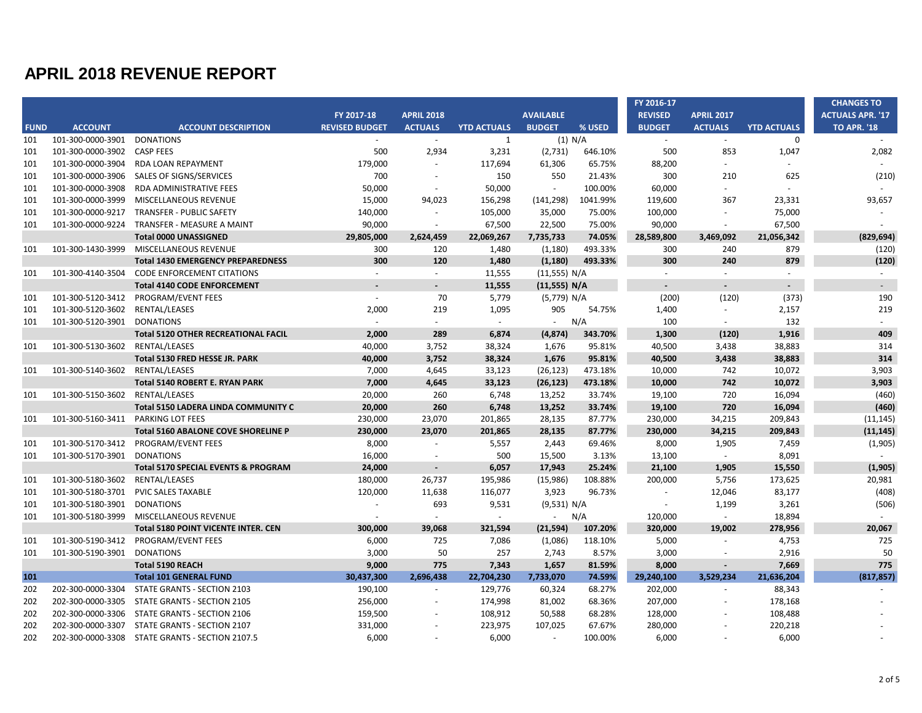|             |                                    |                                                 |                       |                          |                    |                   |           | FY 2016-17     |                   |                    | <b>CHANGES TO</b>       |
|-------------|------------------------------------|-------------------------------------------------|-----------------------|--------------------------|--------------------|-------------------|-----------|----------------|-------------------|--------------------|-------------------------|
|             |                                    |                                                 | FY 2017-18            | <b>APRIL 2018</b>        |                    | <b>AVAILABLE</b>  |           | <b>REVISED</b> | <b>APRIL 2017</b> |                    | <b>ACTUALS APR. '17</b> |
| <b>FUND</b> | <b>ACCOUNT</b>                     | <b>ACCOUNT DESCRIPTION</b>                      | <b>REVISED BUDGET</b> | <b>ACTUALS</b>           | <b>YTD ACTUALS</b> | <b>BUDGET</b>     | % USED    | <b>BUDGET</b>  | <b>ACTUALS</b>    | <b>YTD ACTUALS</b> | <b>TO APR. '18</b>      |
| 101         | 101-300-0000-3901                  | <b>DONATIONS</b>                                | $\sim$                | $\sim$                   | 1                  |                   | $(1)$ N/A | $\sim$         | $\sim$            | $\mathbf 0$        |                         |
| 101         | 101-300-0000-3902                  | <b>CASP FEES</b>                                | 500                   | 2,934                    | 3,231              | (2,731)           | 646.10%   | 500            | 853               | 1,047              | 2,082                   |
| 101         | 101-300-0000-3904                  | RDA LOAN REPAYMENT                              | 179,000               | $\blacksquare$           | 117,694            | 61,306            | 65.75%    | 88,200         | $\sim$            |                    |                         |
| 101         | 101-300-0000-3906                  | SALES OF SIGNS/SERVICES                         | 700                   | $\sim$                   | 150                | 550               | 21.43%    | 300            | 210               | 625                | (210)                   |
| 101         | 101-300-0000-3908                  | <b>RDA ADMINISTRATIVE FEES</b>                  | 50,000                | $\sim$                   | 50,000             | $\sim$            | 100.00%   | 60,000         | $\sim$            |                    |                         |
| 101         | 101-300-0000-3999                  | MISCELLANEOUS REVENUE                           | 15,000                | 94,023                   | 156,298            | (141, 298)        | 1041.99%  | 119,600        | 367               | 23,331             | 93,657                  |
| 101         | 101-300-0000-9217                  | <b>TRANSFER - PUBLIC SAFETY</b>                 | 140,000               | ÷,                       | 105,000            | 35,000            | 75.00%    | 100,000        | $\sim$            | 75,000             |                         |
| 101         | 101-300-0000-9224                  | TRANSFER - MEASURE A MAINT                      | 90.000                | $\omega$                 | 67,500             | 22,500            | 75.00%    | 90.000         | $\blacksquare$    | 67,500             | $\sim$                  |
|             |                                    | <b>Total 0000 UNASSIGNED</b>                    | 29,805,000            | 2,624,459                | 22,069,267         | 7,735,733         | 74.05%    | 28,589,800     | 3,469,092         | 21,056,342         | (829, 694)              |
| 101         | 101-300-1430-3999                  | MISCELLANEOUS REVENUE                           | 300                   | 120                      | 1,480              | (1, 180)          | 493.33%   | 300            | 240               | 879                | (120)                   |
|             |                                    | <b>Total 1430 EMERGENCY PREPAREDNESS</b>        | 300                   | 120                      | 1,480              | (1, 180)          | 493.33%   | 300            | 240               | 879                | (120)                   |
| 101         | 101-300-4140-3504                  | <b>CODE ENFORCEMENT CITATIONS</b>               | $\sim$                | $\omega$                 | 11,555             | (11,555) N/A      |           | $\sim$         | $\sim$            | $\sim$             | $\sim$                  |
|             |                                    | <b>Total 4140 CODE ENFORCEMENT</b>              |                       | $\blacksquare$           | 11,555             | (11,555) N/A      |           | $\sim$         | $\blacksquare$    |                    | $\blacksquare$          |
| 101         | 101-300-5120-3412                  | PROGRAM/EVENT FEES                              | $\sim$                | 70                       | 5,779              | (5,779) N/A       |           | (200)          | (120)             | (373)              | 190                     |
| 101         | 101-300-5120-3602                  | RENTAL/LEASES                                   | 2,000                 | 219                      | 1,095              | 905               | 54.75%    | 1,400          | $\sim$            | 2,157              | 219                     |
| 101         | 101-300-5120-3901                  | <b>DONATIONS</b>                                | $\sim$                | $\sim$                   | $\sim$             | $\sim$            | N/A       | 100            | $\sim$            | 132                | $\omega$                |
|             |                                    | <b>Total 5120 OTHER RECREATIONAL FACIL</b>      | 2,000                 | 289                      | 6,874              | (4, 874)          | 343.70%   | 1,300          | (120)             | 1,916              | 409                     |
| 101         | 101-300-5130-3602 RENTAL/LEASES    |                                                 | 40,000                | 3,752                    | 38,324             | 1,676             | 95.81%    | 40,500         | 3,438             | 38,883             | 314                     |
|             |                                    | Total 5130 FRED HESSE JR. PARK                  | 40,000                | 3.752                    | 38,324             | 1.676             | 95.81%    | 40,500         | 3,438             | 38,883             | 314                     |
| 101         | 101-300-5140-3602                  | RENTAL/LEASES                                   | 7,000                 | 4,645                    | 33,123             | (26, 123)         | 473.18%   | 10,000         | 742               | 10,072             | 3,903                   |
|             |                                    | <b>Total 5140 ROBERT E. RYAN PARK</b>           | 7,000                 | 4,645                    | 33,123             | (26, 123)         | 473.18%   | 10,000         | 742               | 10,072             | 3,903                   |
| 101         | 101-300-5150-3602                  | RENTAL/LEASES                                   | 20,000                | 260                      | 6,748              | 13,252            | 33.74%    | 19,100         | 720               | 16,094             | (460)                   |
|             |                                    | Total 5150 LADERA LINDA COMMUNITY C             | 20,000                | 260                      | 6,748              | 13,252            | 33.74%    | 19,100         | 720               | 16,094             | (460)                   |
| 101         | 101-300-5160-3411 PARKING LOT FEES |                                                 | 230,000               | 23,070                   | 201,865            | 28,135            | 87.77%    | 230,000        | 34,215            | 209,843            | (11, 145)               |
|             |                                    | <b>Total 5160 ABALONE COVE SHORELINE P</b>      | 230,000               | 23,070                   | 201,865            | 28,135            | 87.77%    | 230,000        | 34,215            | 209,843            | (11, 145)               |
| 101         | 101-300-5170-3412                  | PROGRAM/EVENT FEES                              | 8,000                 | $\sim$                   | 5,557              | 2,443             | 69.46%    | 8,000          | 1,905             | 7,459              | (1,905)                 |
| 101         | 101-300-5170-3901 DONATIONS        |                                                 | 16,000                | $\sim$                   | 500                | 15,500            | 3.13%     | 13,100         | $\sim$            | 8,091              | $\omega$                |
|             |                                    | Total 5170 SPECIAL EVENTS & PROGRAM             | 24,000                | $\blacksquare$           | 6,057              | 17,943            | 25.24%    | 21,100         | 1,905             | 15,550             | (1, 905)                |
| 101         | 101-300-5180-3602                  | RENTAL/LEASES                                   | 180,000               | 26,737                   | 195,986            | (15,986)          | 108.88%   | 200,000        | 5,756             | 173,625            | 20,981                  |
| 101         | 101-300-5180-3701                  | <b>PVIC SALES TAXABLE</b>                       | 120,000               | 11,638                   | 116,077            | 3,923             | 96.73%    | $\sim$         | 12,046            | 83,177             | (408)                   |
| 101         | 101-300-5180-3901                  | <b>DONATIONS</b>                                | $\sim$                | 693                      | 9,531              | (9,531) N/A       |           | $\omega$       | 1,199             | 3,261              | (506)                   |
| 101         |                                    | 101-300-5180-3999 MISCELLANEOUS REVENUE         |                       | ä,                       | $\sim$             | $\Delta \sim 100$ | N/A       | 120,000        | $\omega$          | 18,894             |                         |
|             |                                    | <b>Total 5180 POINT VICENTE INTER, CEN</b>      | 300,000               | 39,068                   | 321,594            | (21, 594)         | 107.20%   | 320,000        | 19.002            | 278,956            | 20,067                  |
| 101         |                                    | 101-300-5190-3412 PROGRAM/EVENT FEES            | 6,000                 | 725                      | 7,086              | (1,086)           | 118.10%   | 5,000          | $\sim$            | 4,753              | 725                     |
| 101         | 101-300-5190-3901                  | <b>DONATIONS</b>                                | 3,000                 | 50                       | 257                | 2,743             | 8.57%     | 3,000          | $\sim$            | 2,916              | 50                      |
|             |                                    | <b>Total 5190 REACH</b>                         | 9,000                 | 775                      | 7,343              | 1,657             | 81.59%    | 8,000          | $\sim$            | 7,669              | 775                     |
| 101         |                                    | <b>Total 101 GENERAL FUND</b>                   | 30,437,300            | 2,696,438                | 22,704,230         | 7,733,070         | 74.59%    | 29,240,100     | 3,529,234         | 21,636,204         | (817, 857)              |
| 202         | 202-300-0000-3304                  | STATE GRANTS - SECTION 2103                     | 190,100               | $\overline{\phantom{a}}$ | 129,776            | 60,324            | 68.27%    | 202,000        | ä,                | 88,343             |                         |
| 202         | 202-300-0000-3305                  | STATE GRANTS - SECTION 2105                     | 256,000               | $\sim$                   | 174,998            | 81,002            | 68.36%    | 207,000        |                   | 178,168            |                         |
| 202         | 202-300-0000-3306                  | STATE GRANTS - SECTION 2106                     | 159,500               | $\overline{\phantom{a}}$ | 108,912            | 50,588            | 68.28%    | 128,000        | $\overline{a}$    | 108,488            |                         |
| 202         | 202-300-0000-3307                  | STATE GRANTS - SECTION 2107                     | 331,000               |                          | 223,975            | 107,025           | 67.67%    | 280,000        |                   | 220,218            |                         |
| 202         |                                    | 202-300-0000-3308 STATE GRANTS - SECTION 2107.5 | 6,000                 | $\overline{\phantom{a}}$ | 6,000              | $\sim$            | 100.00%   | 6,000          |                   | 6,000              |                         |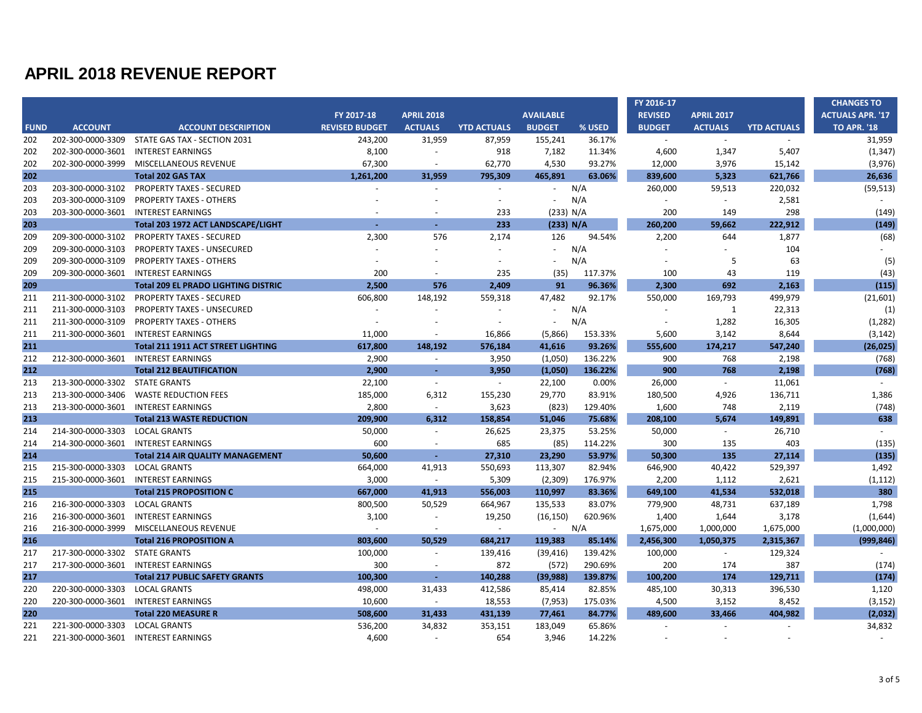|             |                                |                                            |                       |                          |                    |                  |         | FY 2016-17     |                   |                    | <b>CHANGES TO</b>       |
|-------------|--------------------------------|--------------------------------------------|-----------------------|--------------------------|--------------------|------------------|---------|----------------|-------------------|--------------------|-------------------------|
|             |                                |                                            | FY 2017-18            | <b>APRIL 2018</b>        |                    | <b>AVAILABLE</b> |         | <b>REVISED</b> | <b>APRIL 2017</b> |                    | <b>ACTUALS APR. '17</b> |
| <b>FUND</b> | <b>ACCOUNT</b>                 | <b>ACCOUNT DESCRIPTION</b>                 | <b>REVISED BUDGET</b> | <b>ACTUALS</b>           | <b>YTD ACTUALS</b> | <b>BUDGET</b>    | % USED  | <b>BUDGET</b>  | <b>ACTUALS</b>    | <b>YTD ACTUALS</b> | <b>TO APR. '18</b>      |
| 202         | 202-300-0000-3309              | STATE GAS TAX - SECTION 2031               | 243,200               | 31,959                   | 87,959             | 155,241          | 36.17%  | $\sim$         | $\sim$            |                    | 31,959                  |
| 202         | 202-300-0000-3601              | <b>INTEREST EARNINGS</b>                   | 8,100                 | $\sim$                   | 918                | 7,182            | 11.34%  | 4,600          | 1,347             | 5,407              | (1, 347)                |
| 202         | 202-300-0000-3999              | MISCELLANEOUS REVENUE                      | 67,300                | $\sim$                   | 62,770             | 4,530            | 93.27%  | 12,000         | 3,976             | 15,142             | (3,976)                 |
| 202         |                                | <b>Total 202 GAS TAX</b>                   | 1,261,200             | 31,959                   | 795,309            | 465,891          | 63.06%  | 839,600        | 5,323             | 621,766            | 26,636                  |
| 203         | 203-300-0000-3102              | <b>PROPERTY TAXES - SECURED</b>            | $\sim$                | $\overline{\phantom{a}}$ | $\sim$             | $\sim$           | N/A     | 260,000        | 59,513            | 220,032            | (59, 513)               |
| 203         | 203-300-0000-3109              | <b>PROPERTY TAXES - OTHERS</b>             |                       |                          | $\sim$             |                  | N/A     | $\sim$         | $\sim$            | 2,581              | $\sim$                  |
| 203         | 203-300-0000-3601              | <b>INTEREST EARNINGS</b>                   |                       |                          | 233                | (233) N/A        |         | 200            | 149               | 298                | (149)                   |
| 203         |                                | Total 203 1972 ACT LANDSCAPE/LIGHT         |                       |                          | 233                | (233) N/A        |         | 260,200        | 59,662            | 222,912            | (149)                   |
| 209         | 209-300-0000-3102              | <b>PROPERTY TAXES - SECURED</b>            | 2,300                 | 576                      | 2,174              | 126              | 94.54%  | 2,200          | 644               | 1,877              | (68)                    |
| 209         | 209-300-0000-3103              | <b>PROPERTY TAXES - UNSECURED</b>          |                       |                          |                    |                  | N/A     |                |                   | 104                |                         |
| 209         | 209-300-0000-3109              | <b>PROPERTY TAXES - OTHERS</b>             |                       |                          |                    |                  | N/A     |                | -5                | 63                 | (5)                     |
| 209         | 209-300-0000-3601              | <b>INTEREST EARNINGS</b>                   | 200                   | $\sim$                   | 235                | (35)             | 117.37% | 100            | 43                | 119                | (43)                    |
| 209         |                                | <b>Total 209 EL PRADO LIGHTING DISTRIC</b> | 2,500                 | 576                      | 2.409              | 91               | 96.36%  | 2,300          | 692               | 2,163              | (115)                   |
| 211         |                                | 211-300-0000-3102 PROPERTY TAXES - SECURED | 606,800               | 148,192                  | 559,318            | 47,482           | 92.17%  | 550,000        | 169,793           | 499,979            | (21,601)                |
| 211         | 211-300-0000-3103              | <b>PROPERTY TAXES - UNSECURED</b>          |                       |                          |                    |                  | N/A     |                | 1                 | 22,313             | (1)                     |
| 211         | 211-300-0000-3109              | <b>PROPERTY TAXES - OTHERS</b>             |                       |                          |                    |                  | N/A     |                | 1,282             | 16,305             | (1, 282)                |
| 211         | 211-300-0000-3601              | <b>INTEREST EARNINGS</b>                   | 11,000                | $\overline{a}$           | 16,866             | (5,866)          | 153.33% | 5,600          | 3,142             | 8,644              | (3, 142)                |
| 211         |                                | <b>Total 211 1911 ACT STREET LIGHTING</b>  | 617,800               | 148,192                  | 576,184            | 41,616           | 93.26%  | 555,600        | 174,217           | 547,240            | (26, 025)               |
| 212         | 212-300-0000-3601              | <b>INTEREST EARNINGS</b>                   | 2,900                 | $\sim$                   | 3,950              | (1,050)          | 136.22% | 900            | 768               | 2,198              | (768)                   |
| 212         |                                | <b>Total 212 BEAUTIFICATION</b>            | 2,900                 | $\sim$                   | 3,950              | (1,050)          | 136.22% | 900            | 768               | 2,198              | (768)                   |
| 213         | 213-300-0000-3302 STATE GRANTS |                                            | 22,100                | $\sim$                   | $\sim$             | 22,100           | 0.00%   | 26,000         | $\sim$            | 11,061             | $\sim$                  |
| 213         | 213-300-0000-3406              | <b>WASTE REDUCTION FEES</b>                | 185,000               | 6,312                    | 155,230            | 29,770           | 83.91%  | 180,500        | 4,926             | 136,711            | 1,386                   |
| 213         | 213-300-0000-3601              | <b>INTEREST EARNINGS</b>                   | 2,800                 | $\sim$                   | 3,623              | (823)            | 129.40% | 1,600          | 748               | 2,119              | (748)                   |
| 213         |                                | <b>Total 213 WASTE REDUCTION</b>           | 209,900               | 6.312                    | 158,854            | 51,046           | 75.68%  | 208,100        | 5,674             | 149,891            | 638                     |
| 214         | 214-300-0000-3303              | <b>LOCAL GRANTS</b>                        | 50,000                | $\sim$                   | 26,625             | 23,375           | 53.25%  | 50,000         | $\sim$            | 26,710             |                         |
| 214         | 214-300-0000-3601              | <b>INTEREST EARNINGS</b>                   | 600                   | $\sim$                   | 685                | (85)             | 114.22% | 300            | 135               | 403                | (135)                   |
| 214         |                                | <b>Total 214 AIR QUALITY MANAGEMENT</b>    | 50,600                | $\sim$                   | 27,310             | 23,290           | 53.97%  | 50,300         | 135               | 27,114             | (135)                   |
| 215         | 215-300-0000-3303              | <b>LOCAL GRANTS</b>                        | 664,000               | 41,913                   | 550,693            | 113,307          | 82.94%  | 646,900        | 40,422            | 529,397            | 1,492                   |
| 215         | 215-300-0000-3601              | <b>INTEREST EARNINGS</b>                   | 3,000                 | $\sim$                   | 5,309              | (2,309)          | 176.97% | 2.200          | 1,112             | 2,621              | (1, 112)                |
| 215         |                                | <b>Total 215 PROPOSITION C</b>             | 667,000               | 41,913                   | 556,003            | 110,997          | 83.36%  | 649,100        | 41,534            | 532,018            | 380                     |
| 216         | 216-300-0000-3303              | <b>LOCAL GRANTS</b>                        | 800,500               | 50,529                   | 664,967            | 135,533          | 83.07%  | 779,900        | 48,731            | 637,189            | 1,798                   |
| 216         | 216-300-0000-3601              | <b>INTEREST EARNINGS</b>                   | 3,100                 | $\overline{\phantom{a}}$ | 19,250             | (16, 150)        | 620.96% | 1,400          | 1,644             | 3,178              | (1,644)                 |
| 216         |                                | 216-300-0000-3999 MISCELLANEOUS REVENUE    | $\sim$                | $\sim$                   | $\sim$             |                  | $-N/A$  | 1,675,000      | 1,000,000         | 1,675,000          | (1,000,000)             |
| 216         |                                | <b>Total 216 PROPOSITION A</b>             | 803.600               | 50.529                   | 684.217            | 119.383          | 85.14%  | 2,456,300      | 1.050.375         | 2,315,367          | (999, 846)              |
| 217         | 217-300-0000-3302              | <b>STATE GRANTS</b>                        | 100,000               | $\overline{\phantom{a}}$ | 139,416            | (39, 416)        | 139.42% | 100,000        | $\sim$            | 129,324            | $\sim$                  |
| 217         | 217-300-0000-3601              | <b>INTEREST EARNINGS</b>                   | 300                   | $\sim$                   | 872                | (572)            | 290.69% | 200            | 174               | 387                | (174)                   |
| 217         |                                | <b>Total 217 PUBLIC SAFETY GRANTS</b>      | 100,300               | $\sim$                   | 140,288            | (39, 988)        | 139.87% | 100,200        | 174               | 129.711            | (174)                   |
| 220         | 220-300-0000-3303              | <b>LOCAL GRANTS</b>                        | 498,000               | 31,433                   | 412,586            | 85,414           | 82.85%  | 485,100        | 30,313            | 396,530            | 1,120                   |
| 220         | 220-300-0000-3601              | <b>INTEREST EARNINGS</b>                   | 10,600                | $\sim$                   | 18,553             | (7, 953)         | 175.03% | 4,500          | 3,152             | 8,452              | (3, 152)                |
| 220         |                                | <b>Total 220 MEASURE R</b>                 | 508,600               | 31,433                   | 431,139            | 77,461           | 84.77%  | 489,600        | 33,466            | 404,982            | (2,032)                 |
| 221         | 221-300-0000-3303              | <b>LOCAL GRANTS</b>                        | 536,200               | 34,832                   | 353,151            | 183,049          | 65.86%  |                | $\sim$            |                    | 34,832                  |
| 221         |                                | 221-300-0000-3601 INTEREST EARNINGS        | 4,600                 | $\sim$                   | 654                | 3,946            | 14.22%  |                |                   |                    |                         |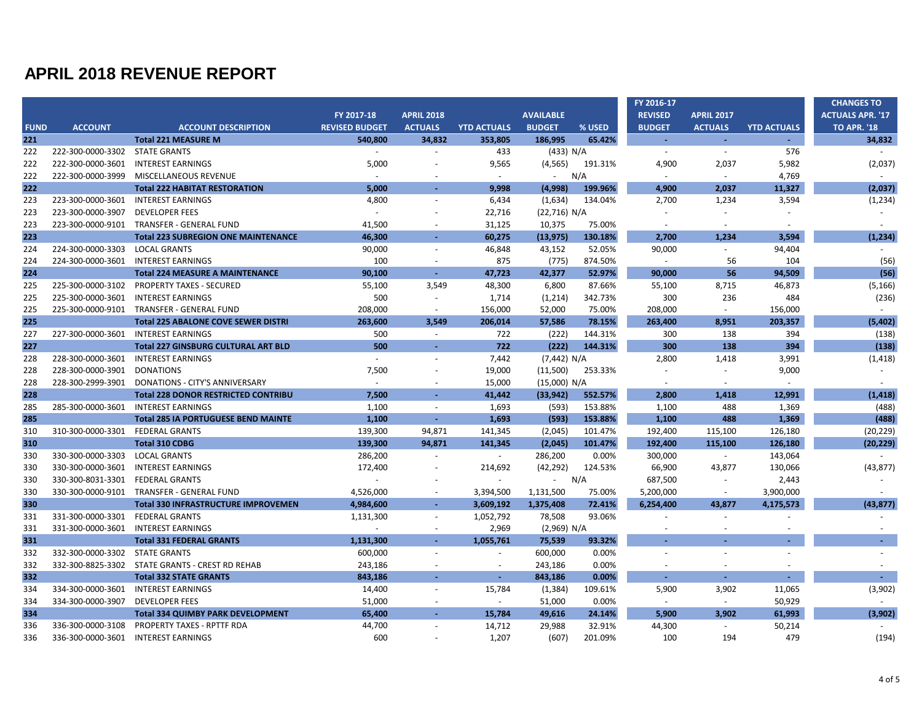|             |                                  |                                                 |                       |                          |                          |                  |         | FY 2016-17     |                   |                    | <b>CHANGES TO</b>       |
|-------------|----------------------------------|-------------------------------------------------|-----------------------|--------------------------|--------------------------|------------------|---------|----------------|-------------------|--------------------|-------------------------|
|             |                                  |                                                 | FY 2017-18            | <b>APRIL 2018</b>        |                          | <b>AVAILABLE</b> |         | <b>REVISED</b> | <b>APRIL 2017</b> |                    | <b>ACTUALS APR. '17</b> |
| <b>FUND</b> | <b>ACCOUNT</b>                   | <b>ACCOUNT DESCRIPTION</b>                      | <b>REVISED BUDGET</b> | <b>ACTUALS</b>           | <b>YTD ACTUALS</b>       | <b>BUDGET</b>    | % USED  | <b>BUDGET</b>  | <b>ACTUALS</b>    | <b>YTD ACTUALS</b> | <b>TO APR. '18</b>      |
| 221         |                                  | <b>Total 221 MEASURE M</b>                      | 540,800               | 34,832                   | 353,805                  | 186,995          | 65.42%  | $\sim$         | $\sim$            | х.                 | 34,832                  |
| 222         | 222-300-0000-3302 STATE GRANTS   |                                                 | $\sim$                | $\sim$                   | 433                      | (433) N/A        |         | $\sim$         | $\omega$          | 576                |                         |
| 222         | 222-300-0000-3601                | <b>INTEREST EARNINGS</b>                        | 5,000                 |                          | 9,565                    | (4, 565)         | 191.31% | 4,900          | 2,037             | 5,982              | (2,037)                 |
| 222         | 222-300-0000-3999                | MISCELLANEOUS REVENUE                           | $\sim$                |                          | $\sim$                   | $\omega$         | N/A     | $\sim$         | $\sim$            | 4,769              | $\sim$                  |
| 222         |                                  | <b>Total 222 HABITAT RESTORATION</b>            | 5,000                 |                          | 9,998                    | (4,998)          | 199.96% | 4,900          | 2,037             | 11,327             | (2,037)                 |
| 223         | 223-300-0000-3601                | <b>INTEREST EARNINGS</b>                        | 4,800                 | ÷,                       | 6,434                    | (1,634)          | 134.04% | 2,700          | 1,234             | 3,594              | (1, 234)                |
| 223         | 223-300-0000-3907                | <b>DEVELOPER FEES</b>                           | $\sim$                | $\ddot{\phantom{1}}$     | 22,716                   | (22,716) N/A     |         |                |                   |                    |                         |
| 223         | 223-300-0000-9101                | TRANSFER - GENERAL FUND                         | 41,500                | $\overline{\phantom{a}}$ | 31,125                   | 10,375           | 75.00%  | $\sim$         | $\sim$            | $\sim$             | $\sim$                  |
| 223         |                                  | <b>Total 223 SUBREGION ONE MAINTENANCE</b>      | 46,300                |                          | 60,275                   | (13, 975)        | 130.18% | 2,700          | 1,234             | 3.594              | (1, 234)                |
| 224         | 224-300-0000-3303                | <b>LOCAL GRANTS</b>                             | 90,000                | $\sim$                   | 46,848                   | 43,152           | 52.05%  | 90,000         | $\sim$            | 94,404             |                         |
| 224         | 224-300-0000-3601                | <b>INTEREST EARNINGS</b>                        | 100                   | $\sim$                   | 875                      | (775)            | 874.50% | $\sim$         | 56                | 104                | (56)                    |
| 224         |                                  | <b>Total 224 MEASURE A MAINTENANCE</b>          | 90,100                | $\sim$                   | 47,723                   | 42,377           | 52.97%  | 90,000         | 56                | 94,509             | (56)                    |
| 225         | 225-300-0000-3102                | <b>PROPERTY TAXES - SECURED</b>                 | 55,100                | 3,549                    | 48,300                   | 6,800            | 87.66%  | 55,100         | 8,715             | 46,873             | (5, 166)                |
| 225         | 225-300-0000-3601                | <b>INTEREST EARNINGS</b>                        | 500                   | $\sim$                   | 1,714                    | (1,214)          | 342.73% | 300            | 236               | 484                | (236)                   |
| 225         |                                  | 225-300-0000-9101 TRANSFER - GENERAL FUND       | 208,000               | $\overline{\phantom{a}}$ | 156,000                  | 52,000           | 75.00%  | 208,000        | $\sim$            | 156,000            | $\sim$                  |
| 225         |                                  | <b>Total 225 ABALONE COVE SEWER DISTRI</b>      | 263,600               | 3.549                    | 206,014                  | 57,586           | 78.15%  | 263,400        | 8,951             | 203,357            | (5,402)                 |
| 227         | 227-300-0000-3601                | <b>INTEREST EARNINGS</b>                        | 500                   | $\sim$                   | 722                      | (222)            | 144.31% | 300            | 138               | 394                | (138)                   |
| 227         |                                  | <b>Total 227 GINSBURG CULTURAL ART BLD</b>      | 500                   | ÷.                       | 722                      | (222)            | 144.31% | 300            | 138               | 394                | (138)                   |
| 228         | 228-300-0000-3601                | <b>INTEREST EARNINGS</b>                        | $\omega$              | $\overline{a}$           | 7,442                    | (7,442) N/A      |         | 2,800          | 1,418             | 3,991              | (1, 418)                |
| 228         | 228-300-0000-3901                | <b>DONATIONS</b>                                | 7,500                 | $\sim$                   | 19,000                   | (11,500)         | 253.33% | $\sim$         | $\blacksquare$    | 9,000              | $\sim$                  |
| 228         | 228-300-2999-3901                | DONATIONS - CITY'S ANNIVERSARY                  | $\sim$                | $\ddot{\phantom{1}}$     | 15,000                   | (15,000) N/A     |         | $\sim$         | $\sim$            | $\sim$             | $\sim$                  |
| 228         |                                  | <b>Total 228 DONOR RESTRICTED CONTRIBU</b>      | 7,500                 | $\sim$                   | 41,442                   | (33, 942)        | 552.57% | 2.800          | 1.418             | 12.991             | (1, 418)                |
| 285         | 285-300-0000-3601                | <b>INTEREST EARNINGS</b>                        | 1,100                 | $\overline{\phantom{a}}$ | 1,693                    | (593)            | 153.88% | 1,100          | 488               | 1,369              | (488)                   |
| 285         |                                  | <b>Total 285 IA PORTUGUESE BEND MAINTE</b>      | 1,100                 | $\sim$                   | 1,693                    | (593)            | 153.88% | 1,100          | 488               | 1,369              | (488)                   |
| 310         | 310-300-0000-3301 FEDERAL GRANTS |                                                 | 139,300               | 94,871                   | 141,345                  | (2,045)          | 101.47% | 192,400        | 115,100           | 126,180            | (20, 229)               |
| 310         |                                  | <b>Total 310 CDBG</b>                           | 139.300               | 94,871                   | 141,345                  | (2,045)          | 101.47% | 192.400        | 115.100           | 126,180            | (20, 229)               |
| 330         | 330-300-0000-3303                | <b>LOCAL GRANTS</b>                             | 286,200               | $\overline{a}$           | $\sim$                   | 286,200          | 0.00%   | 300,000        | $\sim$            | 143,064            |                         |
| 330         | 330-300-0000-3601                | <b>INTEREST EARNINGS</b>                        | 172,400               | $\sim$                   | 214,692                  | (42, 292)        | 124.53% | 66,900         | 43,877            | 130,066            | (43, 877)               |
| 330         | 330-300-8031-3301                | <b>FEDERAL GRANTS</b>                           |                       |                          | $\sim$                   | $\blacksquare$   | N/A     | 687,500        | $\bar{a}$         | 2,443              | $\sim$                  |
| 330         | 330-300-0000-9101                | TRANSFER - GENERAL FUND                         | 4,526,000             |                          | 3,394,500                | 1,131,500        | 75.00%  | 5,200,000      | $\sim$            | 3,900,000          |                         |
| 330         |                                  | <b>Total 330 INFRASTRUCTURE IMPROVEMEN</b>      | 4,984,600             | $\sim$                   | 3,609,192                | 1,375,408        | 72.41%  | 6,254,400      | 43,877            | 4,175,573          | (43, 877)               |
| 331         | 331-300-0000-3301                | <b>FEDERAL GRANTS</b>                           | 1,131,300             | $\sim$                   | 1,052,792                | 78,508           | 93.06%  |                |                   |                    |                         |
| 331         | 331-300-0000-3601                | INTEREST EARNINGS                               | $\sim$                | $\sim$                   | 2,969                    | (2,969) N/A      |         |                |                   |                    |                         |
| 331         |                                  | <b>Total 331 FEDERAL GRANTS</b>                 | 1,131,300             | п.                       | 1,055,761                | 75,539           | 93.32%  |                |                   |                    | $\sim$                  |
| 332         | 332-300-0000-3302                | <b>STATE GRANTS</b>                             | 600,000               | ä,                       | $\sim$                   | 600,000          | 0.00%   |                |                   |                    |                         |
| 332         |                                  | 332-300-8825-3302 STATE GRANTS - CREST RD REHAB | 243,186               |                          | $\overline{\phantom{a}}$ | 243,186          | 0.00%   |                |                   |                    |                         |
| 332         |                                  | <b>Total 332 STATE GRANTS</b>                   | 843,186               | $\sim$                   | a.                       | 843,186          | 0.00%   |                | $\blacksquare$    |                    | $\sim$                  |
| 334         | 334-300-0000-3601                | <b>INTEREST EARNINGS</b>                        | 14,400                | $\sim$                   | 15,784                   | (1, 384)         | 109.61% | 5,900          | 3,902             | 11,065             | (3,902)                 |
| 334         | 334-300-0000-3907                | <b>DEVELOPER FEES</b>                           | 51,000                | $\sim$                   | $\sim$                   | 51,000           | 0.00%   | $\omega$       | $\sim$            | 50,929             | $\omega$                |
| 334         |                                  | <b>Total 334 QUIMBY PARK DEVELOPMENT</b>        | 65,400                | $\sim$                   | 15,784                   | 49,616           | 24.14%  | 5.900          | 3.902             | 61.993             | (3,902)                 |
| 336         | 336-300-0000-3108                | <b>PROPERTY TAXES - RPTTF RDA</b>               | 44,700                |                          | 14,712                   | 29,988           | 32.91%  | 44,300         | $\blacksquare$    | 50,214             |                         |
| 336         | 336-300-0000-3601                | <b>INTEREST EARNINGS</b>                        | 600                   |                          | 1,207                    | (607)            | 201.09% | 100            | 194               | 479                | (194)                   |